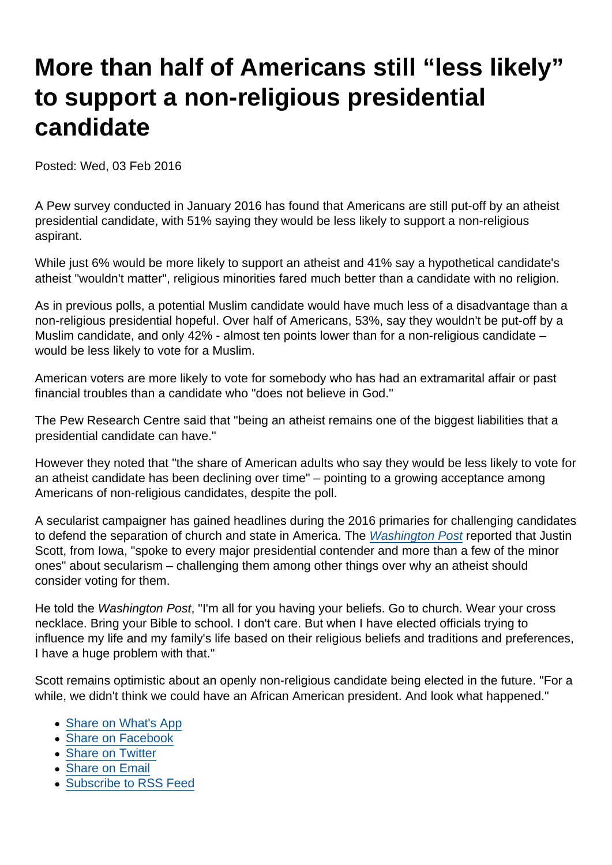## More than half of Americans still "less likely" to support a non-religious presidential candidate

Posted: Wed, 03 Feb 2016

A Pew survey conducted in January 2016 has found that Americans are still put-off by an atheist presidential candidate, with 51% saying they would be less likely to support a non-religious aspirant.

While just 6% would be more likely to support an atheist and 41% say a hypothetical candidate's atheist "wouldn't matter", religious minorities fared much better than a candidate with no religion.

As in previous polls, a potential Muslim candidate would have much less of a disadvantage than a non-religious presidential hopeful. Over half of Americans, 53%, say they wouldn't be put-off by a Muslim candidate, and only 42% - almost ten points lower than for a non-religious candidate – would be less likely to vote for a Muslim.

American voters are more likely to vote for somebody who has had an extramarital affair or past financial troubles than a candidate who "does not believe in God."

The Pew Research Centre said that "being an atheist remains one of the biggest liabilities that a presidential candidate can have."

However they noted that "the share of American adults who say they would be less likely to vote for an atheist candidate has been declining over time" – pointing to a growing acceptance among Americans of non-religious candidates, despite the poll.

A secularist campaigner has gained headlines during the 2016 primaries for challenging candidates to defend the separation of church and state in America. The [Washington Post](https://www.washingtonpost.com/news/acts-of-faith/wp/2016/02/02/meet-the-atheist-who-quizzes-presidential-candidates-about-their-faith/) reported that Justin Scott, from Iowa, "spoke to every major presidential contender and more than a few of the minor ones" about secularism – challenging them among other things over why an atheist should consider voting for them.

He told the Washington Post, "I'm all for you having your beliefs. Go to church. Wear your cross necklace. Bring your Bible to school. I don't care. But when I have elected officials trying to influence my life and my family's life based on their religious beliefs and traditions and preferences, I have a huge problem with that."

Scott remains optimistic about an openly non-religious candidate being elected in the future. "For a while, we didn't think we could have an African American president. And look what happened."

- [Share on What's App](whatsapp://send?text=http://www.secularism.org.uk/news/2016/02/more-than-half-of-americans-still-less-likely-to-support-a-non-religious-presidential-candidate?format=pdf)
- [Share on Facebook](https://www.facebook.com/sharer/sharer.php?u=http://www.secularism.org.uk/news/2016/02/more-than-half-of-americans-still-less-likely-to-support-a-non-religious-presidential-candidate?format=pdf&t=More+than+half+of+Americans+still+“less+likely”+to+support+a+non-religious+presidential+candidate)
- [Share on Twitter](https://twitter.com/intent/tweet?url=http://www.secularism.org.uk/news/2016/02/more-than-half-of-americans-still-less-likely-to-support-a-non-religious-presidential-candidate?format=pdf&text=More+than+half+of+Americans+still+“less+likely”+to+support+a+non-religious+presidential+candidate&via=NatSecSoc)
- [Share on Email](https://www.secularism.org.uk/share.html?url=http://www.secularism.org.uk/news/2016/02/more-than-half-of-americans-still-less-likely-to-support-a-non-religious-presidential-candidate?format=pdf&title=More+than+half+of+Americans+still+“less+likely”+to+support+a+non-religious+presidential+candidate)
- [Subscribe to RSS Feed](/mnt/web-data/www/cp-nss/feeds/rss/news)